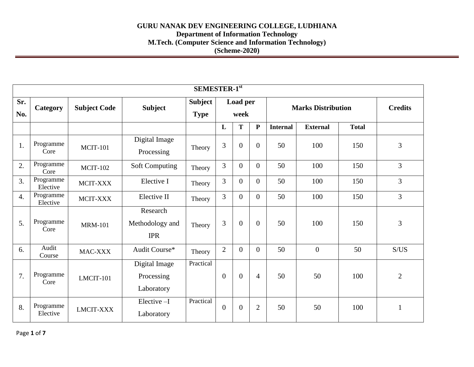|                  | <b>SEMESTER-1st</b>   |                     |                                           |                               |                  |                |                           |                 |                 |              |                |  |  |
|------------------|-----------------------|---------------------|-------------------------------------------|-------------------------------|------------------|----------------|---------------------------|-----------------|-----------------|--------------|----------------|--|--|
| Sr.<br>No.       | Category              | <b>Subject Code</b> | <b>Subject</b>                            | <b>Subject</b><br><b>Type</b> | Load per<br>week |                | <b>Marks Distribution</b> | <b>Credits</b>  |                 |              |                |  |  |
|                  |                       |                     |                                           |                               | L                | T              | ${\bf P}$                 | <b>Internal</b> | <b>External</b> | <b>Total</b> |                |  |  |
| 1.               | Programme<br>Core     | <b>MCIT-101</b>     | Digital Image<br>Processing               | Theory                        | 3                | $\overline{0}$ | $\boldsymbol{0}$          | 50              | 100             | 150          | 3              |  |  |
| 2.               | Programme<br>Core     | <b>MCIT-102</b>     | <b>Soft Computing</b>                     | Theory                        | $\overline{3}$   | $\overline{0}$ | $\overline{0}$            | 50              | 100             | 150          | 3              |  |  |
| 3.               | Programme<br>Elective | MCIT-XXX            | Elective I                                | Theory                        | $\overline{3}$   | $\theta$       | $\overline{0}$            | 50              | 100             | 150          | 3              |  |  |
| $\overline{4}$ . | Programme<br>Elective | MCIT-XXX            | Elective II                               | Theory                        | $\overline{3}$   | $\overline{0}$ | $\overline{0}$            | 50              | 100             | 150          | 3              |  |  |
| 5.               | Programme<br>Core     | <b>MRM-101</b>      | Research<br>Methodology and<br><b>IPR</b> | Theory                        | 3                | $\mathbf{0}$   | $\overline{0}$            | 50              | 100             | 150          | 3              |  |  |
| 6.               | Audit<br>Course       | MAC-XXX             | Audit Course*                             | Theory                        | $\overline{2}$   | $\overline{0}$ | $\overline{0}$            | 50              | $\overline{0}$  | 50           | S/US           |  |  |
| 7.               | Programme<br>Core     | LMCIT-101           | Digital Image<br>Processing<br>Laboratory | Practical                     | $\boldsymbol{0}$ | $\overline{0}$ | $\overline{4}$            | 50              | 50              | 100          | $\overline{2}$ |  |  |
| 8.               | Programme<br>Elective | <b>LMCIT-XXX</b>    | Elective -I<br>Laboratory                 | Practical                     | $\overline{0}$   | $\overline{0}$ | $\overline{2}$            | 50              | 50              | 100          | $\mathbf{1}$   |  |  |

Page **1** of **7**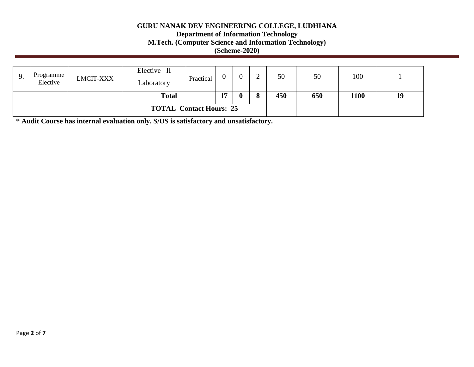| 9. | Programme<br>Elective | <b>LMCIT-XXX</b> | $Elective - II$<br>Laboratory  | Practical |  |                  |               | 50  | 50  | 100  |    |
|----|-----------------------|------------------|--------------------------------|-----------|--|------------------|---------------|-----|-----|------|----|
|    |                       |                  | <b>Total</b>                   |           |  | $\boldsymbol{0}$ | $\Omega$<br>O | 450 | 650 | 1100 | 19 |
|    |                       |                  | <b>TOTAL Contact Hours: 25</b> |           |  |                  |               |     |     |      |    |

**\* Audit Course has internal evaluation only. S/US is satisfactory and unsatisfactory.**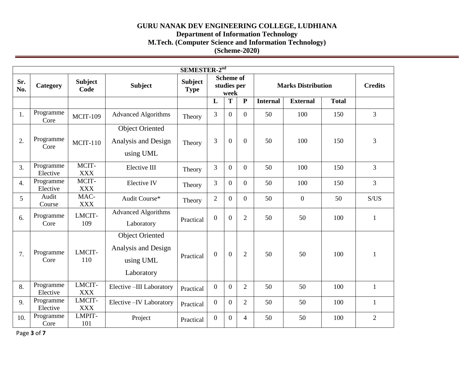|            | SEMESTER-2 <sup>nd</sup> |                        |                                                                          |                               |                                         |                  |                           |                 |                 |                |                |  |
|------------|--------------------------|------------------------|--------------------------------------------------------------------------|-------------------------------|-----------------------------------------|------------------|---------------------------|-----------------|-----------------|----------------|----------------|--|
| Sr.<br>No. | <b>Category</b>          | <b>Subject</b><br>Code | <b>Subject</b>                                                           | <b>Subject</b><br><b>Type</b> | <b>Scheme of</b><br>studies per<br>week |                  | <b>Marks Distribution</b> |                 |                 | <b>Credits</b> |                |  |
|            |                          |                        |                                                                          |                               | L                                       | T                | ${\bf P}$                 | <b>Internal</b> | <b>External</b> | <b>Total</b>   |                |  |
| 1.         | Programme<br>Core        | <b>MCIT-109</b>        | <b>Advanced Algorithms</b>                                               | Theory                        | 3                                       | $\overline{0}$   | $\overline{0}$            | 50              | 100             | 150            | 3              |  |
| 2.         | Programme<br>Core        | <b>MCIT-110</b>        | <b>Object Oriented</b><br>Analysis and Design<br>using UML               | Theory                        | 3                                       | $\overline{0}$   | $\overline{0}$            | 50              | 100             | 150            | 3              |  |
| 3.         | Programme<br>Elective    | MCIT-<br><b>XXX</b>    | Elective III                                                             | Theory                        | 3                                       | $\overline{0}$   | $\overline{0}$            | 50              | 100             | 150            | 3              |  |
| 4.         | Programme<br>Elective    | MCIT-<br><b>XXX</b>    | Elective IV                                                              | Theory                        | 3                                       | $\boldsymbol{0}$ | $\mathbf{0}$              | 50              | 100             | 150            | 3              |  |
| 5          | Audit<br>Course          | MAC-<br><b>XXX</b>     | Audit Course*                                                            | Theory                        | $\overline{2}$                          | $\overline{0}$   | $\overline{0}$            | 50              | $\mathbf{0}$    | 50             | S/US           |  |
| 6.         | Programme<br>Core        | LMCIT-<br>109          | <b>Advanced Algorithms</b><br>Laboratory                                 | Practical                     | $\mathbf{0}$                            | $\overline{0}$   | $\overline{2}$            | 50              | 50              | 100            | $\mathbf{1}$   |  |
| 7.         | Programme<br>Core        | LMCIT-<br>110          | <b>Object Oriented</b><br>Analysis and Design<br>using UML<br>Laboratory | Practical                     | $\mathbf{0}$                            | $\mathbf{0}$     | $\overline{2}$            | 50              | 50              | 100            | $\mathbf{1}$   |  |
| 8.         | Programme<br>Elective    | LMCIT-<br><b>XXX</b>   | Elective -III Laboratory                                                 | Practical                     | $\overline{0}$                          | $\overline{0}$   | $\overline{2}$            | 50              | 50              | 100            | $\mathbf{1}$   |  |
| 9.         | Programme<br>Elective    | LMCIT-<br><b>XXX</b>   | Elective - IV Laboratory                                                 | Practical                     | $\overline{0}$                          | $\boldsymbol{0}$ | $\overline{2}$            | 50              | 50              | 100            | $\mathbf{1}$   |  |
| 10.        | Programme<br>Core        | LMPIT-<br>101          | Project                                                                  | Practical                     | $\overline{0}$                          | $\boldsymbol{0}$ | 4                         | 50              | 50              | 100            | $\overline{2}$ |  |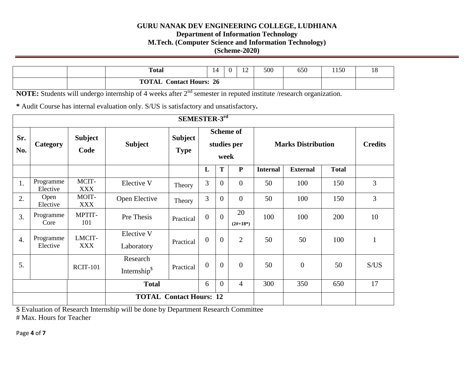|  | <b>Total</b>                                       | $\mathcal{L}$<br>4ء |  | $\rightarrow$<br>┸ | 500 | 650 | 1150 | 10 |
|--|----------------------------------------------------|---------------------|--|--------------------|-----|-----|------|----|
|  | $\sim$<br><b>TOTAL</b><br><b>Contact Hours: 26</b> |                     |  |                    |     |     |      |    |

**NOTE:** Students will undergo internship of 4 weeks after 2<sup>nd</sup> semester in reputed institute /research organization.

**\*** Audit Course has internal evaluation only. S/US is satisfactory and unsatisfactory**.** 

|                                | SEMESTER-3rd          |                        |                                      |                               |                                         |                |                  |                           |                 |              |              |  |
|--------------------------------|-----------------------|------------------------|--------------------------------------|-------------------------------|-----------------------------------------|----------------|------------------|---------------------------|-----------------|--------------|--------------|--|
| Sr.<br>No.                     | Category              | <b>Subject</b><br>Code | <b>Subject</b>                       | <b>Subject</b><br><b>Type</b> | <b>Scheme of</b><br>studies per<br>week |                |                  | <b>Marks Distribution</b> | <b>Credits</b>  |              |              |  |
|                                |                       |                        |                                      |                               | L                                       | T              | ${\bf P}$        | <b>Internal</b>           | <b>External</b> | <b>Total</b> |              |  |
| 1.                             | Programme<br>Elective | MCIT-<br><b>XXX</b>    | Elective V                           | Theory                        | 3                                       | $\mathbf{0}$   | $\overline{0}$   | 50                        | 100             | 150          | 3            |  |
| 2.                             | Open<br>Elective      | MOIT-<br><b>XXX</b>    | Open Elective                        | Theory                        | 3                                       | $\mathbf{0}$   | $\overline{0}$   | 50                        | 100             | 150          | 3            |  |
| 3.                             | Programme<br>Core     | MPTIT-<br>101          | Pre Thesis                           | Practical                     | $\overline{0}$                          | $\overline{0}$ | 20<br>$(2#+18*)$ | 100                       | 100             | 200          | 10           |  |
| 4.                             | Programme<br>Elective | LMCIT-<br><b>XXX</b>   | Elective V<br>Laboratory             | Practical                     | $\boldsymbol{0}$                        | $\theta$       | $\overline{2}$   | 50                        | 50              | 100          | $\mathbf{1}$ |  |
| 5.                             |                       | <b>RCIT-101</b>        | Research<br>Internship <sup>\$</sup> | Practical                     | $\overline{0}$                          | $\mathbf{0}$   | $\overline{0}$   | 50                        | $\overline{0}$  | 50           | S/US         |  |
|                                |                       |                        | <b>Total</b>                         |                               | 6                                       | $\overline{0}$ | $\overline{4}$   | 300                       | 350             | 650          | 17           |  |
| <b>TOTAL Contact Hours: 12</b> |                       |                        |                                      |                               |                                         |                |                  |                           |                 |              |              |  |

\$ Evaluation of Research Internship will be done by Department Research Committee # Max. Hours for Teacher

Page **4** of **7**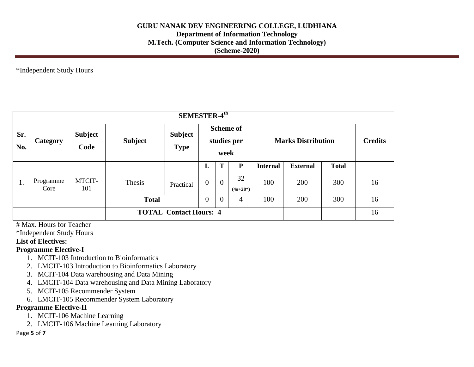\*Independent Study Hours

|                               | <b>SEMESTER-4th</b> |                        |                |                               |                                         |                |                    |                           |                 |              |    |  |
|-------------------------------|---------------------|------------------------|----------------|-------------------------------|-----------------------------------------|----------------|--------------------|---------------------------|-----------------|--------------|----|--|
| Sr.<br>No.                    | <b>Category</b>     | <b>Subject</b><br>Code | <b>Subject</b> | <b>Subject</b><br><b>Type</b> | <b>Scheme of</b><br>studies per<br>week |                |                    | <b>Marks Distribution</b> | <b>Credits</b>  |              |    |  |
|                               |                     |                        |                |                               | L                                       | m              | P                  | <b>Internal</b>           | <b>External</b> | <b>Total</b> |    |  |
| 1.                            | Programme<br>Core   | MTCIT-<br>101          | Thesis         | Practical                     | $\overline{0}$                          | $\overline{0}$ | 32<br>$(4\#+28^*)$ | 100                       | 200             | 300          | 16 |  |
|                               | <b>Total</b>        |                        |                | $\boldsymbol{0}$              | $\overline{0}$                          | 4              | 100                | 200                       | 300             | 16           |    |  |
| <b>TOTAL Contact Hours: 4</b> |                     |                        |                |                               |                                         |                |                    | 16                        |                 |              |    |  |

# Max. Hours for Teacher

\*Independent Study Hours

#### **List of Electives:**

## **Programme Elective-I**

- 1. MCIT-103 Introduction to Bioinformatics
- 2. LMCIT-103 Introduction to Bioinformatics Laboratory
- 3. MCIT-104 Data warehousing and Data Mining
- 4. LMCIT-104 Data warehousing and Data Mining Laboratory
- 5. MCIT-105 Recommender System
- 6. LMCIT-105 Recommender System Laboratory

## **Programme Elective-II**

- 1. MCIT-106 Machine Learning
- 2. LMCIT-106 Machine Learning Laboratory

#### Page **5** of **7**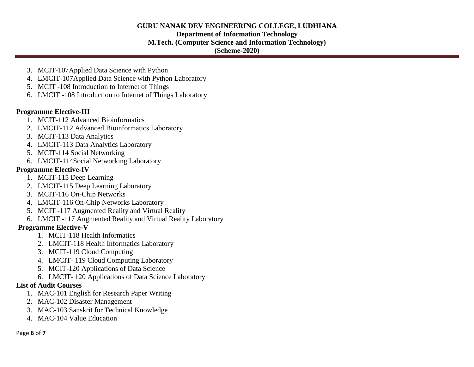- 3. MCIT-107Applied Data Science with Python
- 4. LMCIT-107Applied Data Science with Python Laboratory
- 5. MCIT -108 Introduction to Internet of Things
- 6. LMCIT -108 Introduction to Internet of Things Laboratory

## **Programme Elective-III**

- 1. MCIT-112 Advanced Bioinformatics
- 2. LMCIT-112 Advanced Bioinformatics Laboratory
- 3. MCIT-113 Data Analytics
- 4. LMCIT-113 Data Analytics Laboratory
- 5. MCIT-114 Social Networking
- 6. LMCIT-114Social Networking Laboratory

# **Programme Elective-IV**

- 1. MCIT-115 Deep Learning
- 2. LMCIT-115 Deep Learning Laboratory
- 3. MCIT-116 On-Chip Networks
- 4. LMCIT-116 On-Chip Networks Laboratory
- 5. MCIT -117 Augmented Reality and Virtual Reality
- 6. LMCIT -117 Augmented Reality and Virtual Reality Laboratory

## **Programme Elective-V**

- 1. MCIT-118 Health Informatics
- 2. LMCIT-118 Health Informatics Laboratory
- 3. MCIT-119 Cloud Computing
- 4. LMCIT- 119 Cloud Computing Laboratory
- 5. MCIT-120 Applications of Data Science
- 6. LMCIT- 120 Applications of Data Science Laboratory

## **List of Audit Courses**

- 1. MAC-101 English for Research Paper Writing
- 2. MAC-102 Disaster Management
- 3. MAC-103 Sanskrit for Technical Knowledge
- 4. MAC-104 Value Education

Page **6** of **7**